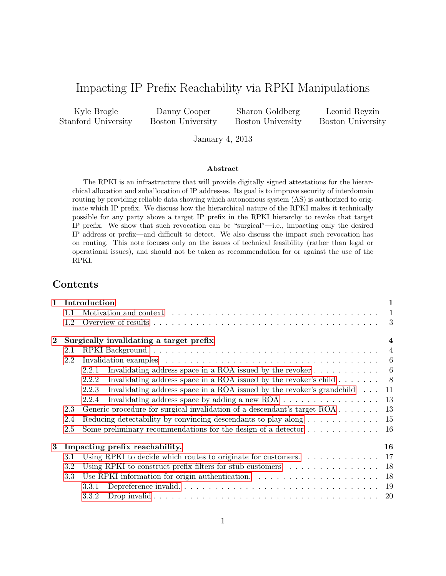# Impacting IP Prefix Reachability via RPKI Manipulations

Kyle Brogle Stanford University

Danny Cooper Boston University

Sharon Goldberg Boston University

Leonid Reyzin Boston University

January 4, 2013

#### Abstract

The RPKI is an infrastructure that will provide digitally signed attestations for the hierarchical allocation and suballocation of IP addresses. Its goal is to improve security of interdomain routing by providing reliable data showing which autonomous system (AS) is authorized to originate which IP prefix. We discuss how the hierarchical nature of the RPKI makes it technically possible for any party above a target IP prefix in the RPKI hierarchy to revoke that target IP prefix. We show that such revocation can be "surgical"—i.e., impacting only the desired IP address or prefix—and difficult to detect. We also discuss the impact such revocation has on routing. This note focuses only on the issues of technical feasibility (rather than legal or operational issues), and should not be taken as recommendation for or against the use of the RPKI.

# Contents

| $\mathbf{1}$   | Introduction                                                       |                                                                                                             | $\mathbf{1}$ |
|----------------|--------------------------------------------------------------------|-------------------------------------------------------------------------------------------------------------|--------------|
|                | 1.1                                                                |                                                                                                             | $\mathbf{1}$ |
|                | 1.2                                                                |                                                                                                             |              |
| $\overline{2}$ | Surgically invalidating a target prefix<br>$\overline{\mathbf{4}}$ |                                                                                                             |              |
|                | 2.1                                                                |                                                                                                             |              |
|                | 2.2                                                                | Invalidation examples $\ldots \ldots \ldots \ldots \ldots \ldots \ldots \ldots \ldots \ldots \ldots \ldots$ |              |
|                |                                                                    | Invalidating address space in a ROA issued by the revoker $\dots \dots \dots \dots$<br>2.2.1                |              |
|                |                                                                    | Invalidating address space in a ROA issued by the revoker's child $\dots \dots$<br>2.2.2                    |              |
|                |                                                                    | Invalidating address space in a ROA issued by the revoker's grandchild<br>2.2.3                             | -11          |
|                |                                                                    | Invalidating address space by adding a new ROA $\dots \dots \dots \dots \dots \dots$<br>2.2.4               |              |
|                | 2.3                                                                | Generic procedure for surgical invalidation of a descendant's target $ROA \dots \dots \dots$ 13             |              |
|                | 2.4                                                                | Reducing detectability by convincing descendants to play along $\dots \dots \dots \dots \dots$ 15           |              |
|                | 2.5                                                                | Some preliminary recommendations for the design of a detector $\dots \dots \dots \dots \dots$ 16            |              |
| 3              | Impacting prefix reachability.<br>16                               |                                                                                                             |              |
|                | 3.1                                                                | Using RPKI to decide which routes to originate for customers. $\dots \dots \dots \dots \dots$               |              |
|                | 3.2                                                                | Using RPKI to construct prefix filters for stub customers $\dots \dots \dots \dots \dots \dots$ 18          |              |
|                | 3.3                                                                | Use RPKI information for origin authentication. $\ldots \ldots \ldots \ldots \ldots \ldots \ldots$ 18       |              |
|                |                                                                    | 3.3.1                                                                                                       |              |
|                |                                                                    | 3.3.2                                                                                                       |              |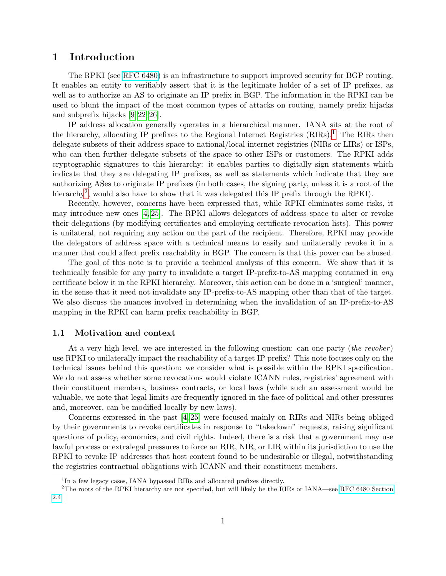# <span id="page-1-0"></span>1 Introduction

The RPKI (see [RFC 6480\)](http://tools.ietf.org/html/rfc6480) is an infrastructure to support improved security for BGP routing. It enables an entity to verifiably assert that it is the legitimate holder of a set of IP prefixes, as well as to authorize an AS to originate an IP prefix in BGP. The information in the RPKI can be used to blunt the impact of the most common types of attacks on routing, namely prefix hijacks and subprefix hijacks [\[9,](#page-21-0) [22,](#page-22-0) [26\]](#page-22-1).

IP address allocation generally operates in a hierarchical manner. IANA sits at the root of the hierarchy, allocating IP prefixes to the Regional Internet Registries  $(RIRs)$ .<sup>[1](#page-1-2)</sup> The RIRs then delegate subsets of their address space to national/local internet registries (NIRs or LIRs) or ISPs, who can then further delegate subsets of the space to other ISPs or customers. The RPKI adds cryptographic signatures to this hierarchy: it enables parties to digitally sign statements which indicate that they are delegating IP prefixes, as well as statements which indicate that they are authorizing ASes to originate IP prefixes (in both cases, the signing party, unless it is a root of the hierarchy<sup>[2](#page-1-3)</sup>, would also have to show that it was delegated this IP prefix through the RPKI).

Recently, however, concerns have been expressed that, while RPKI eliminates some risks, it may introduce new ones [\[4,](#page-21-1) [25\]](#page-22-2). The RPKI allows delegators of address space to alter or revoke their delegations (by modifying certificates and employing certificate revocation lists). This power is unilateral, not requiring any action on the part of the recipient. Therefore, RPKI may provide the delegators of address space with a technical means to easily and unilaterally revoke it in a manner that could affect prefix reachablity in BGP. The concern is that this power can be abused.

The goal of this note is to provide a technical analysis of this concern. We show that it is technically feasible for any party to invalidate a target IP-prefix-to-AS mapping contained in any certificate below it in the RPKI hierarchy. Moreover, this action can be done in a 'surgical' manner, in the sense that it need not invalidate any IP-prefix-to-AS mapping other than that of the target. We also discuss the nuances involved in determining when the invalidation of an IP-prefix-to-AS mapping in the RPKI can harm prefix reachability in BGP.

### <span id="page-1-1"></span>1.1 Motivation and context

At a very high level, we are interested in the following question: can one party (the revoker) use RPKI to unilaterally impact the reachability of a target IP prefix? This note focuses only on the technical issues behind this question: we consider what is possible within the RPKI specification. We do not assess whether some revocations would violate ICANN rules, registries' agreement with their constituent members, business contracts, or local laws (while such an assessment would be valuable, we note that legal limits are frequently ignored in the face of political and other pressures and, moreover, can be modified locally by new laws).

Concerns expressed in the past [\[4,](#page-21-1) [25\]](#page-22-2) were focused mainly on RIRs and NIRs being obliged by their governments to revoke certificates in response to "takedown" requests, raising significant questions of policy, economics, and civil rights. Indeed, there is a risk that a government may use lawful process or extralegal pressures to force an RIR, NIR, or LIR within its jurisdiction to use the RPKI to revoke IP addresses that host content found to be undesirable or illegal, notwithstanding the registries contractual obligations with ICANN and their constituent members.

<span id="page-1-3"></span><span id="page-1-2"></span><sup>&</sup>lt;sup>1</sup>In a few legacy cases, IANA bypassed RIRs and allocated prefixes directly.

<sup>2</sup>The roots of the RPKI hierarchy are not specified, but will likely be the RIRs or IANA—see [RFC 6480 Section](http://tools.ietf.org/html/rfc6480#section-2.4) [2.4](http://tools.ietf.org/html/rfc6480#section-2.4)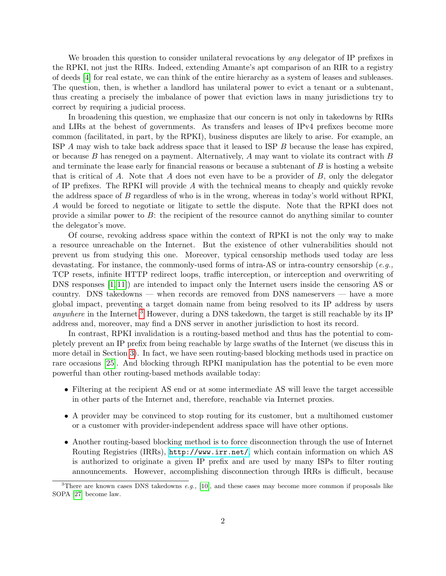We broaden this question to consider unilateral revocations by any delegator of IP prefixes in the RPKI, not just the RIRs. Indeed, extending Amante's apt comparison of an RIR to a registry of deeds [\[4\]](#page-21-1) for real estate, we can think of the entire hierarchy as a system of leases and subleases. The question, then, is whether a landlord has unilateral power to evict a tenant or a subtenant, thus creating a precisely the imbalance of power that eviction laws in many jurisdictions try to correct by requiring a judicial process.

In broadening this question, we emphasize that our concern is not only in takedowns by RIRs and LIRs at the behest of governments. As transfers and leases of IPv4 prefixes become more common (facilitated, in part, by the RPKI), business disputes are likely to arise. For example, an ISP A may wish to take back address space that it leased to ISP B because the lease has expired, or because  $B$  has reneged on a payment. Alternatively,  $A$  may want to violate its contract with  $B$ and terminate the lease early for financial reasons or because a subtenant of  $B$  is hosting a website that is critical of A. Note that A does not even have to be a provider of  $B$ , only the delegator of IP prefixes. The RPKI will provide A with the technical means to cheaply and quickly revoke the address space of B regardless of who is in the wrong, whereas in today's world without RPKI, A would be forced to negotiate or litigate to settle the dispute. Note that the RPKI does not provide a similar power to B: the recipient of the resource cannot do anything similar to counter the delegator's move.

Of course, revoking address space within the context of RPKI is not the only way to make a resource unreachable on the Internet. But the existence of other vulnerabilities should not prevent us from studying this one. Moreover, typical censorship methods used today are less devastating. For instance, the commonly-used forms of intra-AS or intra-country censorship (e.g., TCP resets, infinite HTTP redirect loops, traffic interception, or interception and overwriting of DNS responses [\[1,](#page-21-2) [11\]](#page-21-3)) are intended to impact only the Internet users inside the censoring AS or country. DNS takedowns — when records are removed from DNS nameservers — have a more global impact, preventing a target domain name from being resolved to its IP address by users *anywhere* in the Internet.<sup>[3](#page-2-0)</sup> However, during a DNS takedown, the target is still reachable by its IP address and, moreover, may find a DNS server in another jurisdiction to host its record.

In contrast, RPKI invalidation is a routing-based method and thus has the potential to completely prevent an IP prefix from being reachable by large swaths of the Internet (we discuss this in more detail in Section [3\)](#page-16-1). In fact, we have seen routing-based blocking methods used in practice on rare occasions [\[25\]](#page-22-2). And blocking through RPKI manipulation has the potential to be even more powerful than other routing-based methods available today:

- Filtering at the recipient AS end or at some intermediate AS will leave the target accessible in other parts of the Internet and, therefore, reachable via Internet proxies.
- A provider may be convinced to stop routing for its customer, but a multihomed customer or a customer with provider-independent address space will have other options.
- Another routing-based blocking method is to force disconnection through the use of Internet Routing Registries (IRRs), <http://www.irr.net/>, which contain information on which AS is authorized to originate a given IP prefix and are used by many ISPs to filter routing announcements. However, accomplishing disconnection through IRRs is difficult, because

<span id="page-2-0"></span><sup>&</sup>lt;sup>3</sup>There are known cases DNS takedowns e.g., [\[10\]](#page-21-4), and these cases may become more common if proposals like SOPA [\[27\]](#page-22-3) become law.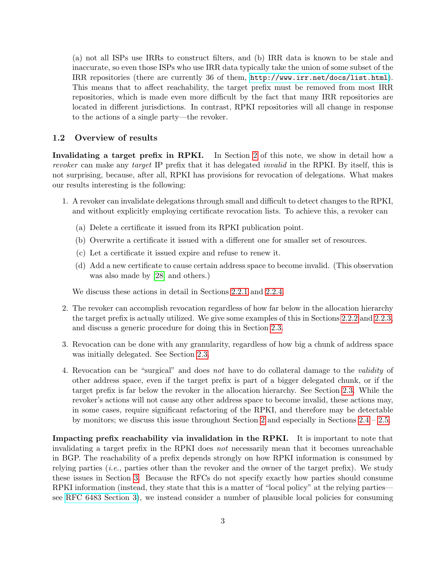(a) not all ISPs use IRRs to construct filters, and (b) IRR data is known to be stale and inaccurate, so even those ISPs who use IRR data typically take the union of some subset of the IRR repositories (there are currently 36 of them, <http://www.irr.net/docs/list.html>). This means that to affect reachability, the target prefix must be removed from most IRR repositories, which is made even more difficult by the fact that many IRR repositories are located in different jurisdictions. In contrast, RPKI repositories will all change in response to the actions of a single party—the revoker.

### <span id="page-3-0"></span>1.2 Overview of results

Invalidating a target prefix in RPKI. In Section [2](#page-4-0) of this note, we show in detail how a revoker can make any target IP prefix that it has delegated *invalid* in the RPKI. By itself, this is not surprising, because, after all, RPKI has provisions for revocation of delegations. What makes our results interesting is the following:

- 1. A revoker can invalidate delegations through small and difficult to detect changes to the RPKI, and without explicitly employing certificate revocation lists. To achieve this, a revoker can
	- (a) Delete a certificate it issued from its RPKI publication point.
	- (b) Overwrite a certificate it issued with a different one for smaller set of resources.
	- (c) Let a certificate it issued expire and refuse to renew it.
	- (d) Add a new certificate to cause certain address space to become invalid. (This observation was also made by [\[28\]](#page-22-4) and others.)

We discuss these actions in detail in Sections [2.2.1](#page-6-1) and [2.2.4.](#page-13-0)

- 2. The revoker can accomplish revocation regardless of how far below in the allocation hierarchy the target prefix is actually utilized. We give some examples of this in Sections [2.2.2](#page-8-0) and [2.2.3,](#page-11-0) and discuss a generic procedure for doing this in Section [2.3.](#page-13-1)
- 3. Revocation can be done with any granularity, regardless of how big a chunk of address space was initially delegated. See Section [2.3.](#page-13-1)
- 4. Revocation can be "surgical" and does not have to do collateral damage to the validity of other address space, even if the target prefix is part of a bigger delegated chunk, or if the target prefix is far below the revoker in the allocation hierarchy. See Section [2.3.](#page-13-1) While the revoker's actions will not cause any other address space to become invalid, these actions may, in some cases, require significant refactoring of the RPKI, and therefore may be detectable by monitors; we discuss this issue throughout Section [2](#page-4-0) and especially in Sections [2.4](#page-15-0) – [2.5.](#page-16-0)

Impacting prefix reachability via invalidation in the RPKI. It is important to note that invalidating a target prefix in the RPKI does not necessarily mean that it becomes unreachable in BGP. The reachability of a prefix depends strongly on how RPKI information is consumed by relying parties (*i.e.*, parties other than the revoker and the owner of the target prefix). We study these issues in Section [3.](#page-16-1) Because the RFCs do not specify exactly how parties should consume RPKI information (instead, they state that this is a matter of "local policy" at the relying parties see [RFC 6483 Section 3\)](http://tools.ietf.org/html/rfc6483#section-3), we instead consider a number of plausible local policies for consuming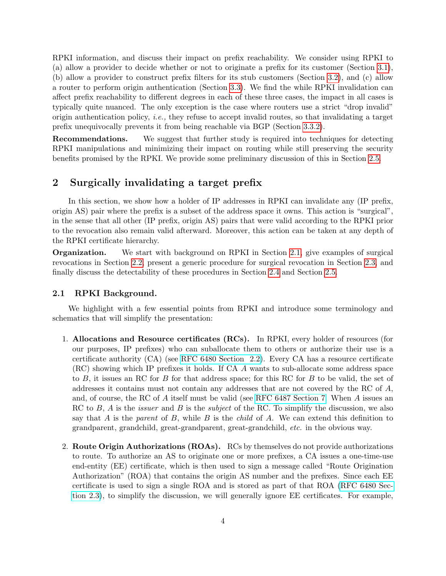RPKI information, and discuss their impact on prefix reachability. We consider using RPKI to (a) allow a provider to decide whether or not to originate a prefix for its customer (Section [3.1\)](#page-17-0), (b) allow a provider to construct prefix filters for its stub customers (Section [3.2\)](#page-18-0), and (c) allow a router to perform origin authentication (Section [3.3\)](#page-18-1). We find the while RPKI invalidation can affect prefix reachability to different degrees in each of these three cases, the impact in all cases is typically quite nuanced. The only exception is the case where routers use a strict "drop invalid" origin authentication policy, i.e., they refuse to accept invalid routes, so that invalidating a target prefix unequivocally prevents it from being reachable via BGP (Section [3.3.2\)](#page-20-0).

Recommendations. We suggest that further study is required into techniques for detecting RPKI manipulations and minimizing their impact on routing while still preserving the security benefits promised by the RPKI. We provide some preliminary discussion of this in Section [2.5.](#page-16-0)

# <span id="page-4-0"></span>2 Surgically invalidating a target prefix

In this section, we show how a holder of IP addresses in RPKI can invalidate any (IP prefix, origin AS) pair where the prefix is a subset of the address space it owns. This action is "surgical", in the sense that all other (IP prefix, origin AS) pairs that were valid according to the RPKI prior to the revocation also remain valid afterward. Moreover, this action can be taken at any depth of the RPKI certificate hierarchy.

Organization. We start with background on RPKI in Section [2.1,](#page-4-1) give examples of surgical revocations in Section [2.2,](#page-6-0) present a generic procedure for surgical revocation in Section [2.3,](#page-13-1) and finally discuss the detectability of these procedures in Section [2.4](#page-15-0) and Section [2.5.](#page-16-0)

### <span id="page-4-1"></span>2.1 RPKI Background.

We highlight with a few essential points from RPKI and introduce some terminology and schematics that will simplify the presentation:

- 1. Allocations and Resource certificates (RCs). In RPKI, every holder of resources (for our purposes, IP prefixes) who can suballocate them to others or authorize their use is a certificate authority (CA) (see [RFC 6480 Section 2.2\)](http://tools.ietf.org/html/rfc6480#section-2.2). Every CA has a resource certificate (RC) showing which IP prefixes it holds. If CA A wants to sub-allocate some address space to B, it issues an RC for B for that address space; for this RC for B to be valid, the set of addresses it contains must not contain any addresses that are not covered by the RC of A, and, of course, the RC of A itself must be valid (see [RFC 6487 Section 7.](http://tools.ietf.org/html/rfc6487#section-7) When A issues an RC to  $B$ ,  $A$  is the *issuer* and  $B$  is the *subject* of the RC. To simplify the discussion, we also say that A is the parent of B, while B is the *child* of A. We can extend this definition to grandparent, grandchild, great-grandparent, great-grandchild, etc. in the obvious way.
- 2. Route Origin Authorizations (ROAs). RCs by themselves do not provide authorizations to route. To authorize an AS to originate one or more prefixes, a CA issues a one-time-use end-entity (EE) certificate, which is then used to sign a message called "Route Origination Authorization" (ROA) that contains the origin AS number and the prefixes. Since each EE certificate is used to sign a single ROA and is stored as part of that ROA [\(RFC 6480 Sec](http://tools.ietf.org/html/rfc6480#section-2.3)[tion 2.3\)](http://tools.ietf.org/html/rfc6480#section-2.3), to simplify the discussion, we will generally ignore EE certificates. For example,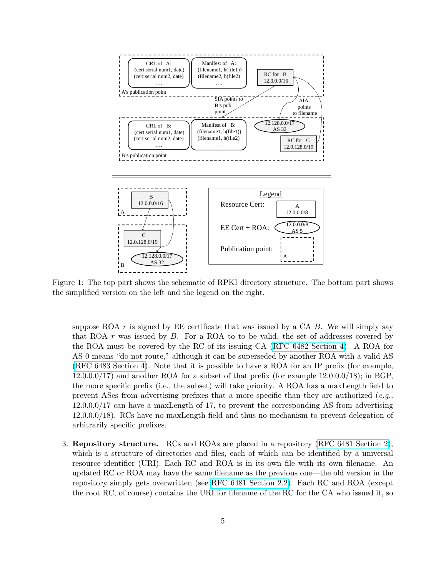<span id="page-5-0"></span>

Figure 1: The top part shows the schematic of RPKI directory structure. The bottom part shows the simplified version on the left and the legend on the right.

suppose ROA  $r$  is signed by EE certificate that was issued by a CA  $B$ . We will simply say that ROA  $r$  was issued by  $B$ . For a ROA to to be valid, the set of addresses covered by the ROA must be covered by the RC of its issuing CA [\(RFC 6482 Section 4\)](http://tools.ietf.org/html/rfc6482#section-4). A ROA for AS 0 means "do not route," although it can be superseded by another ROA with a valid AS [\(RFC 6483 Section 4\)](http://tools.ietf.org/html/rfc6483#section-4). Note that it is possible to have a ROA for an IP prefix (for example, 12.0.0.0/17) and another ROA for a subset of that prefix (for example 12.0.0.0/18); in BGP, the more specific prefix (i.e., the subset) will take priority. A ROA has a maxLength field to prevent ASes from advertising prefixes that a more specific than they are authorized  $(e.g.,)$ 12.0.0.0/17 can have a maxLength of 17, to prevent the corresponding AS from advertising 12.0.0.0/18). RCs have no maxLength field and thus no mechanism to prevent delegation of arbitrarily specific prefixes.

3. Repository structure. RCs and ROAs are placed in a repository [\(RFC 6481 Section 2\)](http://tools.ietf.org/html/rfc6481), which is a structure of directories and files, each of which can be identified by a universal resource identifier (URI). Each RC and ROA is in its own file with its own filename. An updated RC or ROA may have the same filename as the previous one—the old version in the repository simply gets overwritten (see [RFC 6481 Section 2.2\)](http://tools.ietf.org/html/rfc6481#section-2.2). Each RC and ROA (except the root RC, of course) contains the URI for filename of the RC for the CA who issued it, so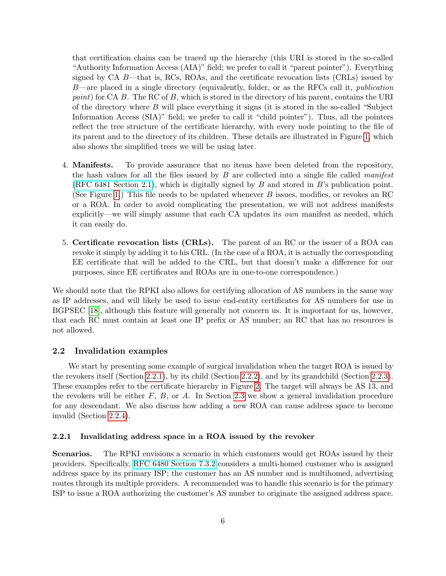that certification chains can be traced up the hierarchy (this URI is stored in the so-called "Authority Information Access (AIA)" field; we prefer to call it "parent pointer"). Everything signed by  $CA$  B—that is, RCs, ROAs, and the certificate revocation lists (CRLs) issued by  $B$ —are placed in a single directory (equivalently, folder, or as the RFCs call it, *publication* point) for CA B. The RC of B, which is stored in the directory of his parent, contains the URI of the directory where  $B$  will place everything it signs (it is stored in the so-called "Subject" Information Access (SIA)" field; we prefer to call it "child pointer"). Thus, all the pointers reflect the tree structure of the certificate hierarchy, with every node pointing to the file of its parent and to the directory of its children. These details are illustrated in Figure [1,](#page-5-0) which also shows the simplified trees we will be using later.

- 4. Manifests. To provide assurance that no items have been deleted from the repository, the hash values for all the files issued by  $B$  are collected into a single file called *manifest* [\(RFC 6481 Section 2.1\)](http://tools.ietf.org/html/rfc6481#section-2.1), which is digitally signed by  $B$  and stored in B's publication point. (See Figure [1.](#page-5-0)) This file needs to be updated whenever  $B$  issues, modifies, or revokes an RC or a ROA. In order to avoid complicating the presentation, we will not address manifests explicitly—we will simply assume that each  $CA$  updates its *own* manifest as needed, which it can easily do.
- 5. Certificate revocation lists (CRLs). The parent of an RC or the issuer of a ROA can revoke it simply by adding it to his CRL. (In the case of a ROA, it is actually the corresponding EE certificate that will be added to the CRL, but that doesn't make a difference for our purposes, since EE certificates and ROAs are in one-to-one correspondence.)

We should note that the RPKI also allows for certifying allocation of AS numbers in the same way as IP addresses, and will likely be used to issue end-entity certificates for AS numbers for use in BGPSEC [\[18\]](#page-22-5), although this feature will generally not concern us. It is important for us, however, that each RC must contain at least one IP prefix or AS number; an RC that has no resources is not allowed.

### <span id="page-6-0"></span>2.2 Invalidation examples

We start by presenting some example of surgical invalidation when the target ROA is issued by the revokers itself (Section [2.2.1\)](#page-6-1), by its child (Section [2.2.2\)](#page-8-0), and by its grandchild (Section [2.2.3\)](#page-11-0). These examples refer to the certificate hierarchy in Figure [2.](#page-7-0) The target will always be AS 13, and the revokers will be either  $F$ ,  $B$ , or  $A$ . In Section [2.3](#page-13-1) we show a general invalidation procedure for any descendant. We also discuss how adding a new ROA can cause address space to become invalid (Section [2.2.4\)](#page-13-0).

### <span id="page-6-1"></span>2.2.1 Invalidating address space in a ROA issued by the revoker

Scenarios. The RPKI envisions a scenario in which customers would get ROAs issued by their providers. Specifically, [RFC 6480 Section 7.3.2](http://tools.ietf.org/html/rfc6480#section-7.3.2) considers a multi-homed customer who is assigned address space by its primary ISP; the customer has an AS number and is multihomed, advertising routes through its multiple providers. A recommended was to handle this scenario is for the primary ISP to issue a ROA authorizing the customer's AS number to originate the assigned address space.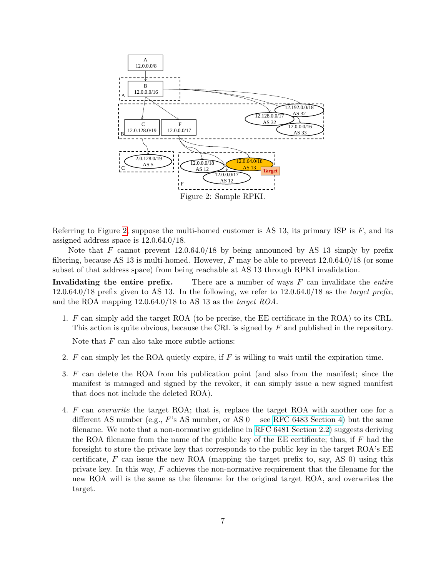<span id="page-7-0"></span>

Referring to Figure [2,](#page-7-0) suppose the multi-homed customer is AS 13, its primary ISP is  $F$ , and its assigned address space is 12.0.64.0/18.

Note that F cannot prevent  $12.0.64.0/18$  by being announced by AS 13 simply by prefix filtering, because AS 13 is multi-homed. However,  $F$  may be able to prevent  $12.0.64.0/18$  (or some subset of that address space) from being reachable at AS 13 through RPKI invalidation.

Invalidating the entire prefix. There are a number of ways  $F$  can invalidate the *entire*  $12.0.64.0/18$  prefix given to AS 13. In the following, we refer to  $12.0.64.0/18$  as the target prefix, and the ROA mapping 12.0.64.0/18 to AS 13 as the target ROA.

<span id="page-7-2"></span>1. F can simply add the target ROA (to be precise, the EE certificate in the ROA) to its CRL. This action is quite obvious, because the CRL is signed by F and published in the repository.

Note that  $F$  can also take more subtle actions:

- 2.  $F$  can simply let the ROA quietly expire, if  $F$  is willing to wait until the expiration time.
- <span id="page-7-3"></span>3. F can delete the ROA from his publication point (and also from the manifest; since the manifest is managed and signed by the revoker, it can simply issue a new signed manifest that does not include the deleted ROA).
- <span id="page-7-1"></span>4. F can overwrite the target ROA; that is, replace the target ROA with another one for a different AS number (e.g.,  $F$ 's AS number, or AS 0 —see [RFC 6483 Section 4\)](http://tools.ietf.org/html/rfc6483#section-4) but the same filename. We note that a non-normative guideline in [RFC 6481 Section 2.2\)](http://tools.ietf.org/html/rfc6481#section-2.2) suggests deriving the ROA filename from the name of the public key of the EE certificate; thus, if  $F$  had the foresight to store the private key that corresponds to the public key in the target ROA's EE certificate,  $F$  can issue the new ROA (mapping the target prefix to, say, AS 0) using this private key. In this way, F achieves the non-normative requirement that the filename for the new ROA will is the same as the filename for the original target ROA, and overwrites the target.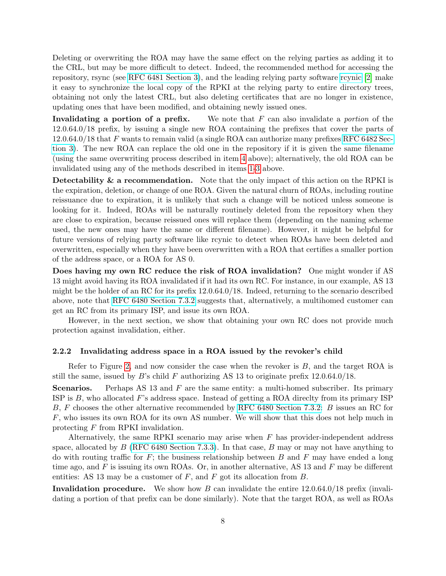Deleting or overwriting the ROA may have the same effect on the relying parties as adding it to the CRL, but may be more difficult to detect. Indeed, the recommended method for accessing the repository, rsync (see [RFC 6481 Section 3\)](http://tools.ietf.org/html/rfc6481#section-3), and the leading relying party software [rcynic](http://trac.rpki.net/) [\[2\]](#page-21-5) make it easy to synchronize the local copy of the RPKI at the relying party to entire directory trees, obtaining not only the latest CRL, but also deleting certificates that are no longer in existence, updating ones that have been modified, and obtaining newly issued ones.

Invalidating a portion of a prefix. We note that  $F$  can also invalidate a *portion* of the 12.0.64.0/18 prefix, by issuing a single new ROA containing the prefixes that cover the parts of 12.0.64.0/18 that F wants to remain valid (a single ROA can authorize many prefixes [RFC 6482 Sec](http://tools.ietf.org/html/rfc6482#section-3)[tion 3\)](http://tools.ietf.org/html/rfc6482#section-3). The new ROA can replace the old one in the repository if it is given the same filename (using the same overwriting process described in item [4](#page-7-1) above); alternatively, the old ROA can be invalidated using any of the methods described in items [1-](#page-7-2)[3](#page-7-3) above.

Detectability  $\&$  a recommendation. Note that the only impact of this action on the RPKI is the expiration, deletion, or change of one ROA. Given the natural churn of ROAs, including routine reissuance due to expiration, it is unlikely that such a change will be noticed unless someone is looking for it. Indeed, ROAs will be naturally routinely deleted from the repository when they are close to expiration, because reissued ones will replace them (depending on the naming scheme used, the new ones may have the same or different filename). However, it might be helpful for future versions of relying party software like rcynic to detect when ROAs have been deleted and overwritten, especially when they have been overwritten with a ROA that certifies a smaller portion of the address space, or a ROA for AS 0.

Does having my own RC reduce the risk of ROA invalidation? One might wonder if AS 13 might avoid having its ROA invalidated if it had its own RC. For instance, in our example, AS 13 might be the holder of an RC for its prefix 12.0.64.0/18. Indeed, returning to the scenario described above, note that [RFC 6480 Section 7.3.2](http://tools.ietf.org/html/rfc6480#section-7.3 2) suggests that, alternatively, a multihomed customer can get an RC from its primary ISP, and issue its own ROA.

However, in the next section, we show that obtaining your own RC does not provide much protection against invalidation, either.

### <span id="page-8-0"></span>2.2.2 Invalidating address space in a ROA issued by the revoker's child

Refer to Figure [2,](#page-7-0) and now consider the case when the revoker is  $B$ , and the target ROA is still the same, issued by B's child F authorizing AS 13 to originate prefix  $12.0.64.0/18$ .

**Scenarios.** Perhaps AS 13 and  $F$  are the same entity: a multi-homed subscriber. Its primary ISP is  $B$ , who allocated F's address space. Instead of getting a ROA directly from its primary ISP B, F chooses the other alternative recommended by [RFC 6480 Section 7.3.2:](http://tools.ietf.org/html/rfc6480#section-7.3 2) B issues an RC for F, who issues its own ROA for its own AS number. We will show that this does not help much in protecting F from RPKI invalidation.

Alternatively, the same RPKI scenario may arise when  $F$  has provider-independent address space, allocated by B [\(RFC 6480 Section 7.3.3\)](http://tools.ietf.org/html/rfc6480#section-7.3 3). In that case, B may or may not have anything to do with routing traffic for  $F$ ; the business relationship between  $B$  and  $F$  may have ended a long time ago, and  $F$  is issuing its own ROAs. Or, in another alternative, AS 13 and  $F$  may be different entities: AS 13 may be a customer of  $F$ , and  $F$  got its allocation from  $B$ .

Invalidation procedure. We show how B can invalidate the entire  $12.0.64.0/18$  prefix (invalidating a portion of that prefix can be done similarly). Note that the target ROA, as well as ROAs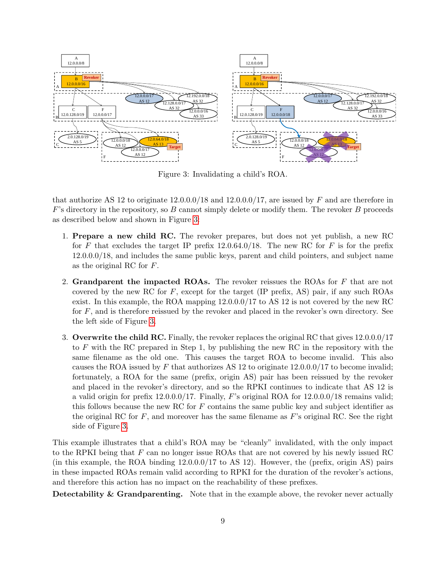<span id="page-9-0"></span>

Figure 3: Invalidating a child's ROA.

that authorize AS 12 to originate  $12.0.0.0/18$  and  $12.0.0.0/17$ , are issued by F and are therefore in  $F$ 's directory in the repository, so  $B$  cannot simply delete or modify them. The revoker  $B$  proceeds as described below and shown in Figure [3:](#page-9-0)

- 1. Prepare a new child RC. The revoker prepares, but does not yet publish, a new RC for F that excludes the target IP prefix  $12.0.64.0/18$ . The new RC for F is for the prefix 12.0.0.0/18, and includes the same public keys, parent and child pointers, and subject name as the original RC for F.
- <span id="page-9-1"></span>2. Grandparent the impacted ROAs. The revoker reissues the ROAs for  $F$  that are not covered by the new RC for  $F$ , except for the target (IP prefix, AS) pair, if any such ROAs exist. In this example, the ROA mapping 12.0.0.0/17 to AS 12 is not covered by the new RC for  $F$ , and is therefore reissued by the revoker and placed in the revoker's own directory. See the left side of Figure [3.](#page-9-0)
- 3. Overwrite the child RC. Finally, the revoker replaces the original RC that gives  $12.0.0.0/17$ to  $F$  with the RC prepared in Step 1, by publishing the new RC in the repository with the same filename as the old one. This causes the target ROA to become invalid. This also causes the ROA issued by F that authorizes AS 12 to originate  $12.0.0.0/17$  to become invalid; fortunately, a ROA for the same (prefix, origin AS) pair has been reissued by the revoker and placed in the revoker's directory, and so the RPKI continues to indicate that AS 12 is a valid origin for prefix  $12.0.0.0/17$ . Finally, F's original ROA for  $12.0.0.0/18$  remains valid; this follows because the new RC for  $F$  contains the same public key and subject identifier as the original RC for  $F$ , and moreover has the same filename as  $F$ 's original RC. See the right side of Figure [3.](#page-9-0)

This example illustrates that a child's ROA may be "cleanly" invalidated, with the only impact to the RPKI being that F can no longer issue ROAs that are not covered by his newly issued RC (in this example, the ROA binding 12.0.0.0/17 to AS 12). However, the (prefix, origin AS) pairs in these impacted ROAs remain valid according to RPKI for the duration of the revoker's actions, and therefore this action has no impact on the reachability of these prefixes.

Detectability & Grandparenting. Note that in the example above, the revoker never actually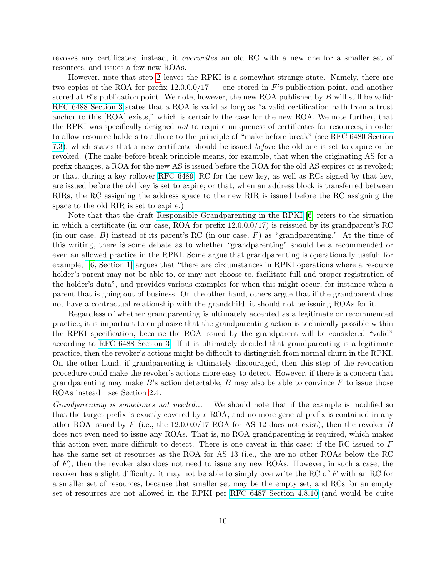revokes any certificates; instead, it overwrites an old RC with a new one for a smaller set of resources, and issues a few new ROAs.

However, note that step [2](#page-9-1) leaves the RPKI is a somewhat strange state. Namely, there are two copies of the ROA for prefix  $12.0.00/17$  — one stored in F's publication point, and another stored at  $B$ 's publication point. We note, however, the new ROA published by  $B$  will still be valid: [RFC 6488 Section 3](http://tools.ietf.org/html/rfc6488#section-3) states that a ROA is valid as long as "a valid certification path from a trust anchor to this [ROA] exists," which is certainly the case for the new ROA. We note further, that the RPKI was specifically designed not to require uniqueness of certificates for resources, in order to allow resource holders to adhere to the principle of "make before break" (see [RFC 6480 Section](http://tools.ietf.org/html/rfc6480#section-7.3) [7.3\)](http://tools.ietf.org/html/rfc6480#section-7.3), which states that a new certificate should be issued before the old one is set to expire or be revoked. (The make-before-break principle means, for example, that when the originating AS for a prefix changes, a ROA for the new AS is issued before the ROA for the old AS expires or is revoked; or that, during a key rollover [RFC 6489,](http://tools.ietf.org/html/rfc6489) RC for the new key, as well as RCs signed by that key, are issued before the old key is set to expire; or that, when an address block is transferred between RIRs, the RC assigning the address space to the new RIR is issued before the RC assigning the space to the old RIR is set to expire.)

Note that that the draft [Responsible Grandparenting in the RPKI](http://tools.ietf.org/html/draft-ymbk-rpki-grandparenting-02) [\[6\]](#page-21-6) refers to the situation in which a certificate (in our case, ROA for prefix 12.0.0.0/17) is reissued by its grandparent's RC (in our case,  $B$ ) instead of its parent's RC (in our case,  $F$ ) as "grandparenting." At the time of this writing, there is some debate as to whether "grandparenting" should be a recommended or even an allowed practice in the RPKI. Some argue that grandparenting is operationally useful: for example, [\[6, Section 1\]](http://tools.ietf.org/html/draft-ymbk-rpki-grandparenting-02#section-1) argues that "there are circumstances in RPKI operations where a resource holder's parent may not be able to, or may not choose to, facilitate full and proper registration of the holder's data", and provides various examples for when this might occur, for instance when a parent that is going out of business. On the other hand, others argue that if the grandparent does not have a contractual relationship with the grandchild, it should not be issuing ROAs for it.

Regardless of whether grandparenting is ultimately accepted as a legitimate or recommended practice, it is important to emphasize that the grandparenting action is technically possible within the RPKI specification, because the ROA issued by the grandparent will be considered "valid" according to [RFC 6488 Section 3.](http://tools.ietf.org/html/rfc6488#section-3) If it is ultimately decided that grandparenting is a legitimate practice, then the revoker's actions might be difficult to distinguish from normal churn in the RPKI. On the other hand, if grandparenting is ultimately discouraged, then this step of the revocation procedure could make the revoker's actions more easy to detect. However, if there is a concern that grandparenting may make  $B$ 's action detectable,  $B$  may also be able to convince  $F$  to issue those ROAs instead—see Section [2.4.](#page-15-0)

Grandparenting is sometimes not needed... We should note that if the example is modified so that the target prefix is exactly covered by a ROA, and no more general prefix is contained in any other ROA issued by F (i.e., the  $12.0.00/17$  ROA for AS 12 does not exist), then the revoker B does not even need to issue any ROAs. That is, no ROA grandparenting is required, which makes this action even more difficult to detect. There is one caveat in this case: if the RC issued to F has the same set of resources as the ROA for AS 13 (i.e., the are no other ROAs below the RC of  $F$ ), then the revoker also does not need to issue any new ROAs. However, in such a case, the revoker has a slight difficulty: it may not be able to simply overwrite the RC of  $F$  with an RC for a smaller set of resources, because that smaller set may be the empty set, and RCs for an empty set of resources are not allowed in the RPKI per [RFC 6487 Section 4.8.10](http://tools.ietf.org/html/rfc6487#section-4.8.10) (and would be quite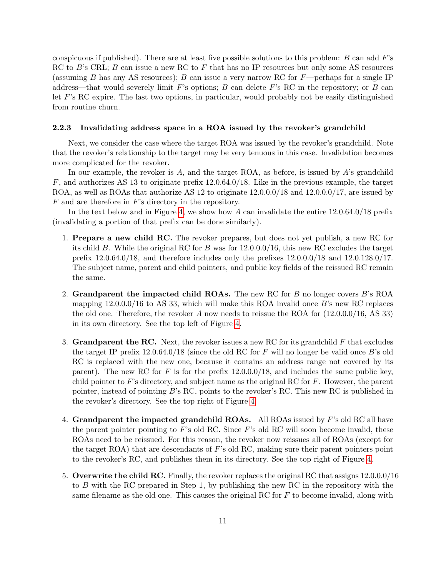conspicuous if published). There are at least five possible solutions to this problem:  $B$  can add  $F$ 's RC to  $B$ 's CRL;  $B$  can issue a new RC to  $F$  that has no IP resources but only some AS resources (assuming B has any AS resources); B can issue a very narrow RC for  $F$ —perhaps for a single IP address—that would severely limit F's options; B can delete F's RC in the repository; or B can let F's RC expire. The last two options, in particular, would probably not be easily distinguished from routine churn.

#### <span id="page-11-0"></span>2.2.3 Invalidating address space in a ROA issued by the revoker's grandchild

Next, we consider the case where the target ROA was issued by the revoker's grandchild. Note that the revoker's relationship to the target may be very tenuous in this case. Invalidation becomes more complicated for the revoker.

In our example, the revoker is  $A$ , and the target ROA, as before, is issued by  $A$ 's grandchild F, and authorizes AS 13 to originate prefix 12.0.64.0/18. Like in the previous example, the target ROA, as well as ROAs that authorize AS 12 to originate 12.0.0.0/18 and 12.0.0.0/17, are issued by  $F$  and are therefore in  $F$ 's directory in the repository.

In the text below and in Figure [4,](#page-12-0) we show how A can invalidate the entire  $12.0.64.0/18$  prefix (invalidating a portion of that prefix can be done similarly).

- 1. Prepare a new child RC. The revoker prepares, but does not yet publish, a new RC for its child B. While the original RC for B was for  $12.0.0.0/16$ , this new RC excludes the target prefix  $12.0.64.0/18$ , and therefore includes only the prefixes  $12.0.0.0/18$  and  $12.0.128.0/17$ . The subject name, parent and child pointers, and public key fields of the reissued RC remain the same.
- 2. Grandparent the impacted child ROAs. The new RC for  $B$  no longer covers  $B$ 's ROA mapping  $12.0.0.0/16$  to AS 33, which will make this ROA invalid once B's new RC replaces the old one. Therefore, the revoker A now needs to reissue the ROA for (12.0.0.0/16, AS 33) in its own directory. See the top left of Figure [4.](#page-12-0)
- 3. Grandparent the RC. Next, the revoker issues a new RC for its grandchild  $F$  that excludes the target IP prefix  $12.0.64.0/18$  (since the old RC for F will no longer be valid once B's old RC is replaced with the new one, because it contains an address range not covered by its parent). The new RC for F is for the prefix  $12.0.0.0/18$ , and includes the same public key, child pointer to F's directory, and subject name as the original RC for  $F$ . However, the parent pointer, instead of pointing B's RC, points to the revoker's RC. This new RC is published in the revoker's directory. See the top right of Figure [4.](#page-12-0)
- <span id="page-11-1"></span>4. Grandparent the impacted grandchild ROAs. All ROAs issued by  $F$ 's old RC all have the parent pointer pointing to  $F$ 's old RC. Since  $F$ 's old RC will soon become invalid, these ROAs need to be reissued. For this reason, the revoker now reissues all of ROAs (except for the target ROA) that are descendants of  $F$ 's old RC, making sure their parent pointers point to the revoker's RC, and publishes them in its directory. See the top right of Figure [4.](#page-12-0)
- 5. Overwrite the child RC. Finally, the revoker replaces the original RC that assigns 12.0.0.0/16 to B with the RC prepared in Step 1, by publishing the new RC in the repository with the same filename as the old one. This causes the original RC for F to become invalid, along with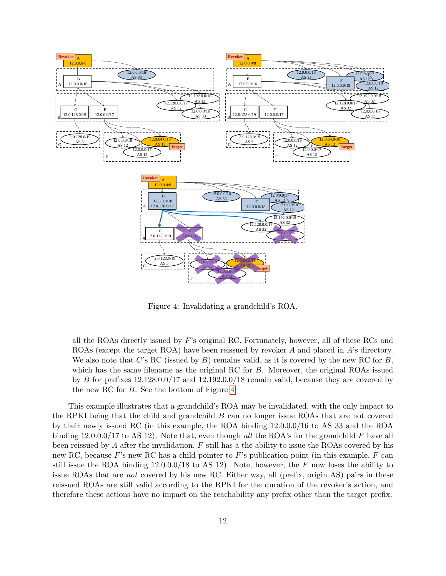<span id="page-12-0"></span>

Figure 4: Invalidating a grandchild's ROA.

all the ROAs directly issued by  $F$ 's original RC. Fortunately, however, all of these RCs and ROAs (except the target ROA) have been reissued by revoker A and placed in A's directory. We also note that  $C$ 's RC (issued by  $B$ ) remains valid, as it is covered by the new RC for  $B$ , which has the same filename as the original RC for B. Moreover, the original ROAs issued by B for prefixes  $12.128.0.0/17$  and  $12.192.0.0/18$  remain valid, because they are covered by the new RC for B. See the bottom of Figure [4.](#page-12-0)

This example illustrates that a grandchild's ROA may be invalidated, with the only impact to the RPKI being that the child and grandchild B can no longer issue ROAs that are not covered by their newly issued RC (in this example, the ROA binding 12.0.0.0/16 to AS 33 and the ROA binding 12.0.0.0/17 to AS 12). Note that, even though all the ROA's for the grandchild F have all been reissued by A after the invalidation,  $F$  still has a the ability to issue the ROAs covered by his new RC, because  $F$ 's new RC has a child pointer to  $F$ 's publication point (in this example,  $F$  can still issue the ROA binding  $12.0.00/18$  to AS 12). Note, however, the F now loses the ability to issue ROAs that are not covered by his new RC. Either way, all (prefix, origin AS) pairs in these reissued ROAs are still valid according to the RPKI for the duration of the revoker's action, and therefore these actions have no impact on the reachability any prefix other than the target prefix.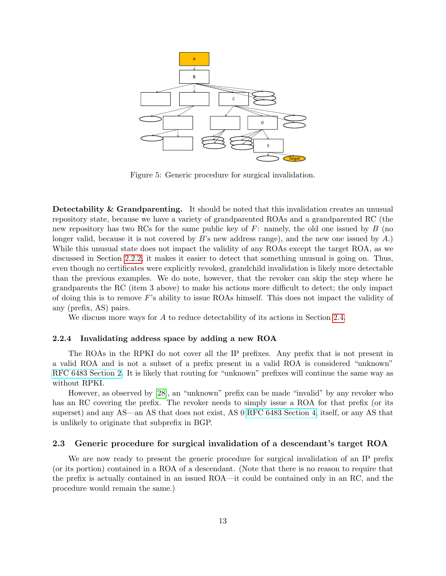<span id="page-13-2"></span>

Figure 5: Generic procedure for surgical invalidation.

Detectability & Grandparenting. It should be noted that this invalidation creates an unusual repository state, because we have a variety of grandparented ROAs and a grandparented RC (the new repository has two RCs for the same public key of  $F$ : namely, the old one issued by  $B$  (no longer valid, because it is not covered by B's new address range), and the new one issued by A.) While this unusual state does not impact the validity of any ROAs except the target ROA, as we discussed in Section [2.2.2,](#page-8-0) it makes it easier to detect that something unusual is going on. Thus, even though no certificates were explicitly revoked, grandchild invalidation is likely more detectable than the previous examples. We do note, however, that the revoker can skip the step where he grandparents the RC (item 3 above) to make his actions more difficult to detect; the only impact of doing this is to remove  $F$ 's ability to issue ROAs himself. This does not impact the validity of any (prefix, AS) pairs.

We discuss more ways for A to reduce detectability of its actions in Section [2.4.](#page-15-0)

### <span id="page-13-0"></span>2.2.4 Invalidating address space by adding a new ROA

The ROAs in the RPKI do not cover all the IP prefixes. Any prefix that is not present in a valid ROA and is not a subset of a prefix present in a valid ROA is considered "unknown" [RFC 6483 Section 2.](http://tools.ietf.org/html/rfc6483#section-2) It is likely that routing for "unknown" prefixes will continue the same way as without RPKI.

However, as observed by [\[28\]](#page-22-4), an "unknown" prefix can be made "invalid" by any revoker who has an RC covering the prefix. The revoker needs to simply issue a ROA for that prefix (or its superset) and any AS—an AS that does not exist, AS 0 [RFC 6483 Section 4,](http://tools.ietf.org/html/rfc6483#section-4) itself, or any AS that is unlikely to originate that subprefix in BGP.

### <span id="page-13-1"></span>2.3 Generic procedure for surgical invalidation of a descendant's target ROA

We are now ready to present the generic procedure for surgical invalidation of an IP prefix (or its portion) contained in a ROA of a descendant. (Note that there is no reason to require that the prefix is actually contained in an issued ROA—it could be contained only in an RC, and the procedure would remain the same.)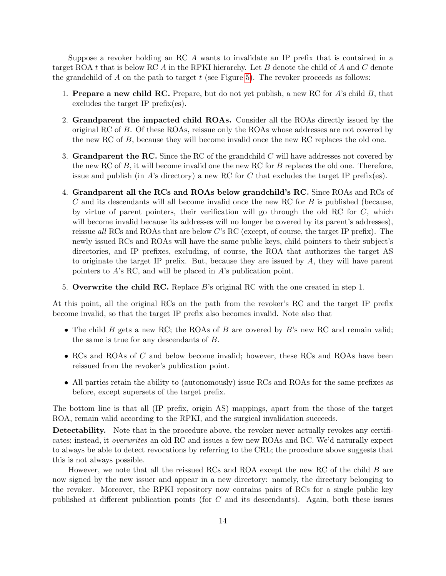Suppose a revoker holding an RC A wants to invalidate an IP prefix that is contained in a target ROA  $t$  that is below RC  $A$  in the RPKI hierarchy. Let  $B$  denote the child of  $A$  and  $C$  denote the grandchild of  $A$  on the path to target  $t$  (see Figure [5\)](#page-13-2). The revoker proceeds as follows:

- 1. Prepare a new child RC. Prepare, but do not yet publish, a new RC for  $A$ 's child  $B$ , that excludes the target IP prefix(es).
- 2. Grandparent the impacted child ROAs. Consider all the ROAs directly issued by the original RC of B. Of these ROAs, reissue only the ROAs whose addresses are not covered by the new RC of B, because they will become invalid once the new RC replaces the old one.
- 3. Grandparent the RC. Since the RC of the grandchild  $C$  will have addresses not covered by the new RC of  $B$ , it will become invalid one the new RC for  $B$  replaces the old one. Therefore, issue and publish (in A's directory) a new RC for C that excludes the target IP prefix(es).
- 4. Grandparent all the RCs and ROAs below grandchild's RC. Since ROAs and RCs of  $C$  and its descendants will all become invalid once the new RC for  $B$  is published (because, by virtue of parent pointers, their verification will go through the old RC for  $C$ , which will become invalid because its addresses will no longer be covered by its parent's addresses), reissue all RCs and ROAs that are below  $C$ 's RC (except, of course, the target IP prefix). The newly issued RCs and ROAs will have the same public keys, child pointers to their subject's directories, and IP prefixes, excluding, of course, the ROA that authorizes the target AS to originate the target IP prefix. But, because they are issued by A, they will have parent pointers to A's RC, and will be placed in A's publication point.
- 5. Overwrite the child RC. Replace  $B$ 's original RC with the one created in step 1.

At this point, all the original RCs on the path from the revoker's RC and the target IP prefix become invalid, so that the target IP prefix also becomes invalid. Note also that

- The child B gets a new RC; the ROAs of B are covered by B's new RC and remain valid; the same is true for any descendants of B.
- RCs and ROAs of C and below become invalid; however, these RCs and ROAs have been reissued from the revoker's publication point.
- All parties retain the ability to (autonomously) issue RCs and ROAs for the same prefixes as before, except supersets of the target prefix.

The bottom line is that all (IP prefix, origin AS) mappings, apart from the those of the target ROA, remain valid according to the RPKI, and the surgical invalidation succeeds.

Detectability. Note that in the procedure above, the revoker never actually revokes any certificates; instead, it overwrites an old RC and issues a few new ROAs and RC. We'd naturally expect to always be able to detect revocations by referring to the CRL; the procedure above suggests that this is not always possible.

However, we note that all the reissued RCs and ROA except the new RC of the child B are now signed by the new issuer and appear in a new directory: namely, the directory belonging to the revoker. Moreover, the RPKI repository now contains pairs of RCs for a single public key published at different publication points (for C and its descendants). Again, both these issues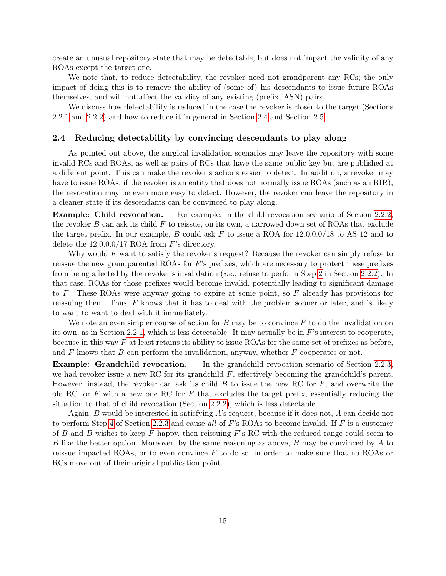create an unusual repository state that may be detectable, but does not impact the validity of any ROAs except the target one.

We note that, to reduce detectability, the revoker need not grandparent any RCs; the only impact of doing this is to remove the ability of (some of) his descendants to issue future ROAs themselves, and will not affect the validity of any existing (prefix, ASN) pairs.

We discuss how detectability is reduced in the case the revoker is closer to the target (Sections [2.2.1](#page-6-1) and [2.2.2\)](#page-8-0) and how to reduce it in general in Section [2.4](#page-15-0) and Section [2.5.](#page-16-0)

#### <span id="page-15-0"></span>2.4 Reducing detectability by convincing descendants to play along

As pointed out above, the surgical invalidation scenarios may leave the repository with some invalid RCs and ROAs, as well as pairs of RCs that have the same public key but are published at a different point. This can make the revoker's actions easier to detect. In addition, a revoker may have to issue ROAs; if the revoker is an entity that does not normally issue ROAs (such as an RIR), the revocation may be even more easy to detect. However, the revoker can leave the repository in a cleaner state if its descendants can be convinced to play along.

Example: Child revocation. For example, in the child revocation scenario of Section [2.2.2,](#page-8-0) the revoker  $B$  can ask its child  $F$  to reissue, on its own, a narrowed-down set of ROAs that exclude the target prefix. In our example, B could ask F to issue a ROA for  $12.0.00/18$  to AS 12 and to delete the  $12.0.0.0/17$  ROA from F's directory.

Why would  $F$  want to satisfy the revoker's request? Because the revoker can simply refuse to reissue the new grandparented ROAs for  $F$ 's prefixes, which are necessary to protect these prefixes from being affected by the revoker's invalidation (i.e., refuse to perform Step [2](#page-9-1) in Section [2.2.2\)](#page-8-0). In that case, ROAs for those prefixes would become invalid, potentially leading to significant damage to F. These ROAs were anyway going to expire at some point, so F already has provisions for reissuing them. Thus,  $F$  knows that it has to deal with the problem sooner or later, and is likely to want to want to deal with it immediately.

We note an even simpler course of action for  $B$  may be to convince  $F$  to do the invalidation on its own, as in Section [2.2.1,](#page-6-1) which is less detectable. It may actually be in F's interest to cooperate, because in this way  $F$  at least retains its ability to issue ROAs for the same set of prefixes as before, and  $F$  knows that  $B$  can perform the invalidation, anyway, whether  $F$  cooperates or not.

Example: Grandchild revocation. In the grandchild revocation scenario of Section [2.2.3,](#page-11-0) we had revoker issue a new RC for its grandchild  $F$ , effectively becoming the grandchild's parent. However, instead, the revoker can ask its child  $B$  to issue the new RC for  $F$ , and overwrite the old RC for F with a new one RC for F that excludes the target prefix, essentially reducing the situation to that of child revocation (Section [2.2.2\)](#page-8-0), which is less detectable.

Again, B would be interested in satisfying A's request, because if it does not, A can decide not to perform Step [4](#page-11-1) of Section [2.2.3](#page-11-0) and cause all of F's ROAs to become invalid. If F is a customer of B and B wishes to keep F happy, then reissuing F's RC with the reduced range could seem to B like the better option. Moreover, by the same reasoning as above,  $B$  may be convinced by  $A$  to reissue impacted ROAs, or to even convince  $F$  to do so, in order to make sure that no ROAs or RCs move out of their original publication point.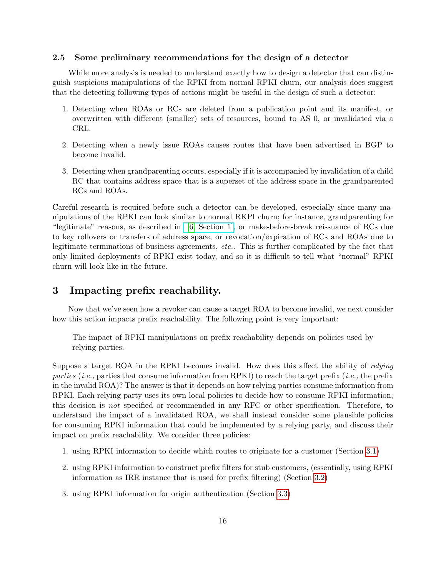## <span id="page-16-0"></span>2.5 Some preliminary recommendations for the design of a detector

While more analysis is needed to understand exactly how to design a detector that can distinguish suspicious manipulations of the RPKI from normal RPKI churn, our analysis does suggest that the detecting following types of actions might be useful in the design of such a detector:

- 1. Detecting when ROAs or RCs are deleted from a publication point and its manifest, or overwritten with different (smaller) sets of resources, bound to AS 0, or invalidated via a CRL.
- 2. Detecting when a newly issue ROAs causes routes that have been advertised in BGP to become invalid.
- 3. Detecting when grandparenting occurs, especially if it is accompanied by invalidation of a child RC that contains address space that is a superset of the address space in the grandparented RCs and ROAs.

Careful research is required before such a detector can be developed, especially since many manipulations of the RPKI can look similar to normal RKPI churn; for instance, grandparenting for "legitimate" reasons, as described in [\[6, Section 1\],](http://tools.ietf.org/html/draft-ymbk-rpki-grandparenting-02#section-1) or make-before-break reissuance of RCs due to key rollovers or transfers of address space, or revocation/expiration of RCs and ROAs due to legitimate terminations of business agreements, etc.. This is further complicated by the fact that only limited deployments of RPKI exist today, and so it is difficult to tell what "normal" RPKI churn will look like in the future.

# <span id="page-16-1"></span>3 Impacting prefix reachability.

Now that we've seen how a revoker can cause a target ROA to become invalid, we next consider how this action impacts prefix reachability. The following point is very important:

The impact of RPKI manipulations on prefix reachability depends on policies used by relying parties.

Suppose a target ROA in the RPKI becomes invalid. How does this affect the ability of relying parties (*i.e.*, parties that consume information from RPKI) to reach the target prefix (*i.e.*, the prefix in the invalid ROA)? The answer is that it depends on how relying parties consume information from RPKI. Each relying party uses its own local policies to decide how to consume RPKI information; this decision is not specified or recommended in any RFC or other specification. Therefore, to understand the impact of a invalidated ROA, we shall instead consider some plausible policies for consuming RPKI information that could be implemented by a relying party, and discuss their impact on prefix reachability. We consider three policies:

- 1. using RPKI information to decide which routes to originate for a customer (Section [3.1\)](#page-17-0)
- 2. using RPKI information to construct prefix filters for stub customers, (essentially, using RPKI information as IRR instance that is used for prefix filtering) (Section [3.2\)](#page-18-0)
- 3. using RPKI information for origin authentication (Section [3.3\)](#page-18-1)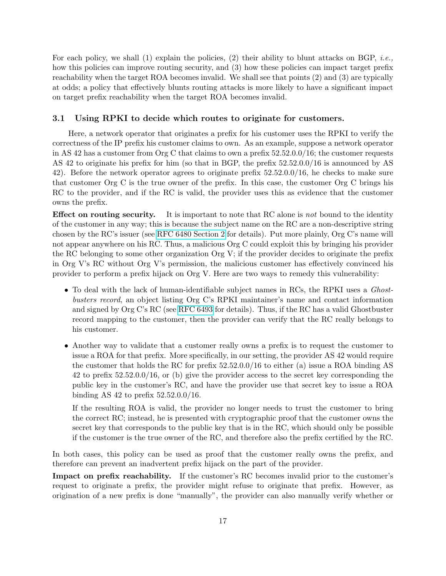For each policy, we shall (1) explain the policies, (2) their ability to blunt attacks on BGP, *i.e.*, how this policies can improve routing security, and (3) how these policies can impact target prefix reachability when the target ROA becomes invalid. We shall see that points (2) and (3) are typically at odds; a policy that effectively blunts routing attacks is more likely to have a significant impact on target prefix reachability when the target ROA becomes invalid.

### <span id="page-17-0"></span>3.1 Using RPKI to decide which routes to originate for customers.

Here, a network operator that originates a prefix for his customer uses the RPKI to verify the correctness of the IP prefix his customer claims to own. As an example, suppose a network operator in AS 42 has a customer from  $\text{Org C}$  that claims to own a prefix 52.52.0.0/16; the customer requests AS 42 to originate his prefix for him (so that in BGP, the prefix 52.52.0.0/16 is announced by AS 42). Before the network operator agrees to originate prefix 52.52.0.0/16, he checks to make sure that customer Org C is the true owner of the prefix. In this case, the customer Org C brings his RC to the provider, and if the RC is valid, the provider uses this as evidence that the customer owns the prefix.

**Effect on routing security.** It is important to note that RC alone is not bound to the identity of the customer in any way; this is because the subject name on the RC are a non-descriptive string chosen by the RC's issuer (see [RFC 6480 Section 2](http://tools.ietf.org/html/rfc6480#section-2) for details). Put more plainly, Org C's name will not appear anywhere on his RC. Thus, a malicious Org C could exploit this by bringing his provider the RC belonging to some other organization Org V; if the provider decides to originate the prefix in Org V's RC without Org V's permission, the malicious customer has effectively convinced his provider to perform a prefix hijack on Org V. Here are two ways to remedy this vulnerability:

- To deal with the lack of human-identifiable subject names in RCs, the RPKI uses a *Ghost*busters record, an object listing Org C's RPKI maintainer's name and contact information and signed by Org C's RC (see [RFC 6493](http://datatracker.ietf.org/doc/draft-ietf-sidr-ghostbusters/) for details). Thus, if the RC has a valid Ghostbuster record mapping to the customer, then the provider can verify that the RC really belongs to his customer.
- Another way to validate that a customer really owns a prefix is to request the customer to issue a ROA for that prefix. More specifically, in our setting, the provider AS 42 would require the customer that holds the RC for prefix 52.52.0.0/16 to either (a) issue a ROA binding AS 42 to prefix 52.52.0.0/16, or (b) give the provider access to the secret key corresponding the public key in the customer's RC, and have the provider use that secret key to issue a ROA binding AS 42 to prefix 52.52.0.0/16.

If the resulting ROA is valid, the provider no longer needs to trust the customer to bring the correct RC; instead, he is presented with cryptographic proof that the customer owns the secret key that corresponds to the public key that is in the RC, which should only be possible if the customer is the true owner of the RC, and therefore also the prefix certified by the RC.

In both cases, this policy can be used as proof that the customer really owns the prefix, and therefore can prevent an inadvertent prefix hijack on the part of the provider.

Impact on prefix reachability. If the customer's RC becomes invalid prior to the customer's request to originate a prefix, the provider might refuse to originate that prefix. However, as origination of a new prefix is done "manually", the provider can also manually verify whether or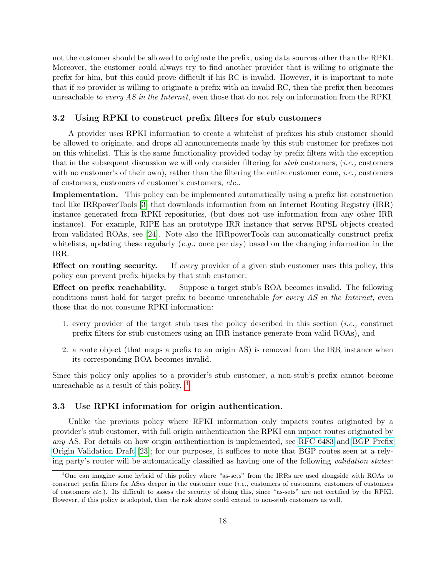not the customer should be allowed to originate the prefix, using data sources other than the RPKI. Moreover, the customer could always try to find another provider that is willing to originate the prefix for him, but this could prove difficult if his RC is invalid. However, it is important to note that if no provider is willing to originate a prefix with an invalid RC, then the prefix then becomes unreachable to every AS in the Internet, even those that do not rely on information from the RPKI.

#### <span id="page-18-0"></span>3.2 Using RPKI to construct prefix filters for stub customers

A provider uses RPKI information to create a whitelist of prefixes his stub customer should be allowed to originate, and drops all announcements made by this stub customer for prefixes not on this whitelist. This is the same functionality provided today by prefix filters with the exception that in the subsequent discussion we will only consider filtering for stub customers,  $(i.e.,$  customers with no customer's of their own), rather than the filtering the entire customer cone, *i.e.*, customers of customers, customers of customer's customers, etc..

Implementation. This policy can be implemented automatically using a prefix list construction tool like IRRpowerTools [\[3\]](#page-21-7) that downloads information from an Internet Routing Registry (IRR) instance generated from RPKI repositories, (but does not use information from any other IRR instance). For example, RIPE has an prototype IRR instance that serves RPSL objects created from validated ROAs, see [\[24\]](#page-22-6). Note also the IRRpowerTools can automatically construct prefix whitelists, updating these regularly  $(e.g.,$  once per day) based on the changing information in the IRR.

**Effect on routing security.** If every provider of a given stub customer uses this policy, this policy can prevent prefix hijacks by that stub customer.

Effect on prefix reachability. Suppose a target stub's ROA becomes invalid. The following conditions must hold for target prefix to become unreachable for every AS in the Internet, even those that do not consume RPKI information:

- 1. every provider of the target stub uses the policy described in this section (*i.e.*, construct prefix filters for stub customers using an IRR instance generate from valid ROAs), and
- 2. a route object (that maps a prefix to an origin AS) is removed from the IRR instance when its corresponding ROA becomes invalid.

Since this policy only applies to a provider's stub customer, a non-stub's prefix cannot become unreachable as a result of this policy. [4](#page-18-2)

#### <span id="page-18-1"></span>3.3 Use RPKI information for origin authentication.

Unlike the previous policy where RPKI information only impacts routes originated by a provider's stub customer, with full origin authentication the RPKI can impact routes originated by any AS. For details on how origin authentication is implemented, see [RFC 6483](http://tools.ietf.org/html/rfc6483) and [BGP Prefix](http://tools.ietf.org/html/draft-ietf-sidr-pfx-validate-09) [Origin Validation Draft](http://tools.ietf.org/html/draft-ietf-sidr-pfx-validate-09) [\[23\]](#page-22-7); for our purposes, it suffices to note that BGP routes seen at a relying party's router will be automatically classified as having one of the following validation states:

<span id="page-18-2"></span><sup>&</sup>lt;sup>4</sup>One can imagine some hybrid of this policy where "as-sets" from the IRRs are used alongside with ROAs to construct prefix filters for ASes deeper in the customer cone  $(i.e.,$  customers of customers, customers of customers of customers etc.). Its difficult to assess the security of doing this, since "as-sets" are not certified by the RPKI. However, if this policy is adopted, then the risk above could extend to non-stub customers as well.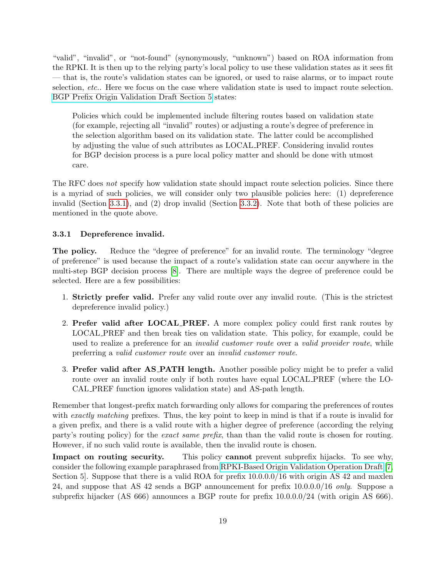"valid", "invalid", or "not-found" (synonymously, "unknown") based on ROA information from the RPKI. It is then up to the relying party's local policy to use these validation states as it sees fit — that is, the route's validation states can be ignored, or used to raise alarms, or to impact route selection, *etc.*. Here we focus on the case where validation state is used to impact route selection. [BGP Prefix Origin Validation Draft Section 5](http://tools.ietf.org/html/draft-ietf-sidr-pfx-validate-09#section-5) states:

Policies which could be implemented include filtering routes based on validation state (for example, rejecting all "invalid" routes) or adjusting a route's degree of preference in the selection algorithm based on its validation state. The latter could be accomplished by adjusting the value of such attributes as LOCAL PREF. Considering invalid routes for BGP decision process is a pure local policy matter and should be done with utmost care.

The RFC does not specify how validation state should impact route selection policies. Since there is a myriad of such policies, we will consider only two plausible policies here: (1) depreference invalid (Section [3.3.1\)](#page-19-0), and (2) drop invalid (Section [3.3.2\)](#page-20-0). Note that both of these policies are mentioned in the quote above.

#### <span id="page-19-0"></span>3.3.1 Depreference invalid.

The policy. Reduce the "degree of preference" for an invalid route. The terminology "degree of preference" is used because the impact of a route's validation state can occur anywhere in the multi-step BGP decision process [\[8\]](#page-21-8). There are multiple ways the degree of preference could be selected. Here are a few possibilities:

- 1. Strictly prefer valid. Prefer any valid route over any invalid route. (This is the strictest depreference invalid policy.)
- 2. Prefer valid after LOCAL PREF. A more complex policy could first rank routes by LOCAL PREF and then break ties on validation state. This policy, for example, could be used to realize a preference for an *invalid customer route* over a *valid provider route*, while preferring a valid customer route over an invalid customer route.
- 3. Prefer valid after AS PATH length. Another possible policy might be to prefer a valid route over an invalid route only if both routes have equal LOCAL PREF (where the LO-CAL PREF function ignores validation state) and AS-path length.

Remember that longest-prefix match forwarding only allows for comparing the preferences of routes with exactly matching prefixes. Thus, the key point to keep in mind is that if a route is invalid for a given prefix, and there is a valid route with a higher degree of preference (according the relying party's routing policy) for the exact same prefix, than than the valid route is chosen for routing. However, if no such valid route is available, then the invalid route is chosen.

Impact on routing security. This policy cannot prevent subprefix hijacks. To see why, consider the following example paraphrased from [RPKI-Based Origin Validation Operation Draft](http://tools.ietf.org/html/draft-ietf-sidr-origin-ops-19#section-5) [\[7,](#page-21-9) Section 5]. Suppose that there is a valid ROA for prefix 10.0.0.0/16 with origin AS 42 and maxlen 24, and suppose that AS 42 sends a BGP announcement for prefix 10.0.0.0/16 only. Suppose a subprefix hijacker (AS 666) announces a BGP route for prefix  $10.0.0.0/24$  (with origin AS 666).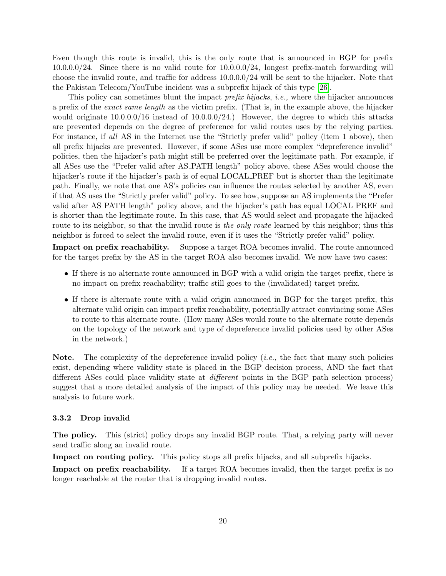Even though this route is invalid, this is the only route that is announced in BGP for prefix 10.0.0.0/24. Since there is no valid route for 10.0.0.0/24, longest prefix-match forwarding will choose the invalid route, and traffic for address 10.0.0.0/24 will be sent to the hijacker. Note that the Pakistan Telecom/YouTube incident was a subprefix hijack of this type [\[26\]](#page-22-1).

This policy can sometimes blunt the impact *prefix hijacks*, *i.e.*, where the hijacker announces a prefix of the exact same length as the victim prefix. (That is, in the example above, the hijacker would originate  $10.0.0.0/16$  instead of  $10.0.0.0/24$ .) However, the degree to which this attacks are prevented depends on the degree of preference for valid routes uses by the relying parties. For instance, if all AS in the Internet use the "Strictly prefer valid" policy (item 1 above), then all prefix hijacks are prevented. However, if some ASes use more complex "depreference invalid" policies, then the hijacker's path might still be preferred over the legitimate path. For example, if all ASes use the "Prefer valid after AS PATH length" policy above, these ASes would choose the hijacker's route if the hijacker's path is of equal LOCAL PREF but is shorter than the legitimate path. Finally, we note that one AS's policies can influence the routes selected by another AS, even if that AS uses the "Strictly prefer valid" policy. To see how, suppose an AS implements the "Prefer valid after AS PATH length" policy above, and the hijacker's path has equal LOCAL PREF and is shorter than the legitimate route. In this case, that AS would select and propagate the hijacked route to its neighbor, so that the invalid route is the only route learned by this neighbor; thus this neighbor is forced to select the invalid route, even if it uses the "Strictly prefer valid" policy.

Impact on prefix reachability. Suppose a target ROA becomes invalid. The route announced for the target prefix by the AS in the target ROA also becomes invalid. We now have two cases:

- If there is no alternate route announced in BGP with a valid origin the target prefix, there is no impact on prefix reachability; traffic still goes to the (invalidated) target prefix.
- If there is alternate route with a valid origin announced in BGP for the target prefix, this alternate valid origin can impact prefix reachability, potentially attract convincing some ASes to route to this alternate route. (How many ASes would route to the alternate route depends on the topology of the network and type of depreference invalid policies used by other ASes in the network.)

**Note.** The complexity of the depreference invalid policy (*i.e.*, the fact that many such policies exist, depending where validity state is placed in the BGP decision process, AND the fact that different ASes could place validity state at different points in the BGP path selection process) suggest that a more detailed analysis of the impact of this policy may be needed. We leave this analysis to future work.

#### <span id="page-20-0"></span>3.3.2 Drop invalid

The policy. This (strict) policy drops any invalid BGP route. That, a relying party will never send traffic along an invalid route.

Impact on routing policy. This policy stops all prefix hijacks, and all subprefix hijacks.

Impact on prefix reachability. If a target ROA becomes invalid, then the target prefix is no longer reachable at the router that is dropping invalid routes.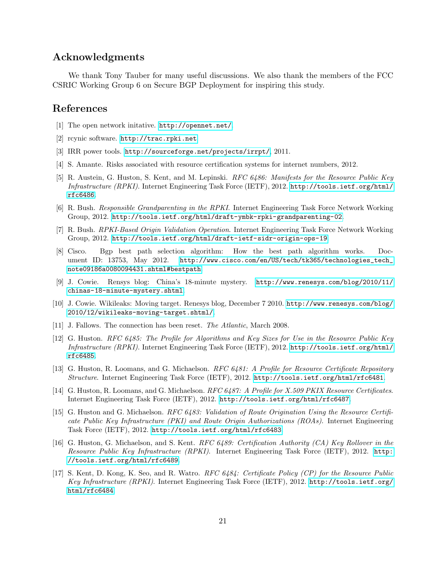# Acknowledgments

We thank Tony Tauber for many useful discussions. We also thank the members of the FCC CSRIC Working Group 6 on Secure BGP Deployment for inspiring this study.

# References

- <span id="page-21-2"></span>[1] The open network initative. <http://opennet.net/>.
- <span id="page-21-5"></span>[2] rcynic software. <http://trac.rpki.net>.
- <span id="page-21-7"></span>[3] IRR power tools. <http://sourceforge.net/projects/irrpt/>, 2011.
- <span id="page-21-1"></span>[4] S. Amante. Risks associated with resource certification systems for internet numbers, 2012.
- [5] R. Austein, G. Huston, S. Kent, and M. Lepinski. RFC 6486: Manifests for the Resource Public Key Infrastructure (RPKI). Internet Engineering Task Force (IETF), 2012. [http://tools.ietf.org/html/](http://tools.ietf.org/html/rfc6486) [rfc6486](http://tools.ietf.org/html/rfc6486).
- <span id="page-21-6"></span>[6] R. Bush. Responsible Grandparenting in the RPKI. Internet Engineering Task Force Network Working Group, 2012. <http://tools.ietf.org/html/draft-ymbk-rpki-grandparenting-02>.
- <span id="page-21-9"></span>[7] R. Bush. RPKI-Based Origin Validation Operation. Internet Engineering Task Force Network Working Group, 2012. <http://tools.ietf.org/html/draft-ietf-sidr-origin-ops-19>.
- <span id="page-21-8"></span>[8] Cisco. Bgp best path selection algorithm: How the best path algorithm works. Document ID: 13753, May 2012. [http://www.cisco.com/en/US/tech/tk365/technologies\\_tech\\_](http://www.cisco.com/en/US/tech/tk365/technologies_tech_note09186a0080094431.shtml#bestpath) [note09186a0080094431.shtml#bestpath](http://www.cisco.com/en/US/tech/tk365/technologies_tech_note09186a0080094431.shtml#bestpath).
- <span id="page-21-0"></span>[9] J. Cowie. Rensys blog: China's 18-minute mystery. [http://www.renesys.com/blog/2010/11/](http://www.renesys.com/blog/2010/11/chinas-18-minute-mystery.shtml) [chinas-18-minute-mystery.shtml](http://www.renesys.com/blog/2010/11/chinas-18-minute-mystery.shtml).
- <span id="page-21-4"></span>[10] J. Cowie. Wikileaks: Moving target. Renesys blog, December 7 2010. [http://www.renesys.com/blog/](http://www.renesys.com/blog/2010/12/wikileaks-moving-target.shtml/) [2010/12/wikileaks-moving-target.shtml/](http://www.renesys.com/blog/2010/12/wikileaks-moving-target.shtml/).
- <span id="page-21-3"></span>[11] J. Fallows. The connection has been reset. The Atlantic, March 2008.
- [12] G. Huston. RFC 6485: The Profile for Algorithms and Key Sizes for Use in the Resource Public Key Infrastructure (RPKI). Internet Engineering Task Force (IETF), 2012. [http://tools.ietf.org/html/](http://tools.ietf.org/html/rfc6485) [rfc6485](http://tools.ietf.org/html/rfc6485).
- [13] G. Huston, R. Loomans, and G. Michaelson. RFC 6481: A Profile for Resource Certificate Repository Structure. Internet Engineering Task Force (IETF), 2012. <http://tools.ietf.org/html/rfc6481>.
- [14] G. Huston, R. Loomans, and G. Michaelson. RFC 6487: A Profile for X.509 PKIX Resource Certificates. Internet Engineering Task Force (IETF), 2012. <http://tools.ietf.org/html/rfc6487>.
- [15] G. Huston and G. Michaelson. RFC 6483: Validation of Route Origination Using the Resource Certificate Public Key Infrastructure (PKI) and Route Origin Authorizations (ROAs). Internet Engineering Task Force (IETF), 2012. <http://tools.ietf.org/html/rfc6483>.
- [16] G. Huston, G. Michaelson, and S. Kent. RFC 6489: Certification Authority (CA) Key Rollover in the Resource Public Key Infrastructure (RPKI). Internet Engineering Task Force (IETF), 2012. [http:](http://tools.ietf.org/html/rfc6489) [//tools.ietf.org/html/rfc6489](http://tools.ietf.org/html/rfc6489).
- [17] S. Kent, D. Kong, K. Seo, and R. Watro. RFC 6484: Certificate Policy (CP) for the Resource Public Key Infrastructure (RPKI). Internet Engineering Task Force (IETF), 2012. [http://tools.ietf.org/](http://tools.ietf.org/html/rfc6484) [html/rfc6484](http://tools.ietf.org/html/rfc6484).